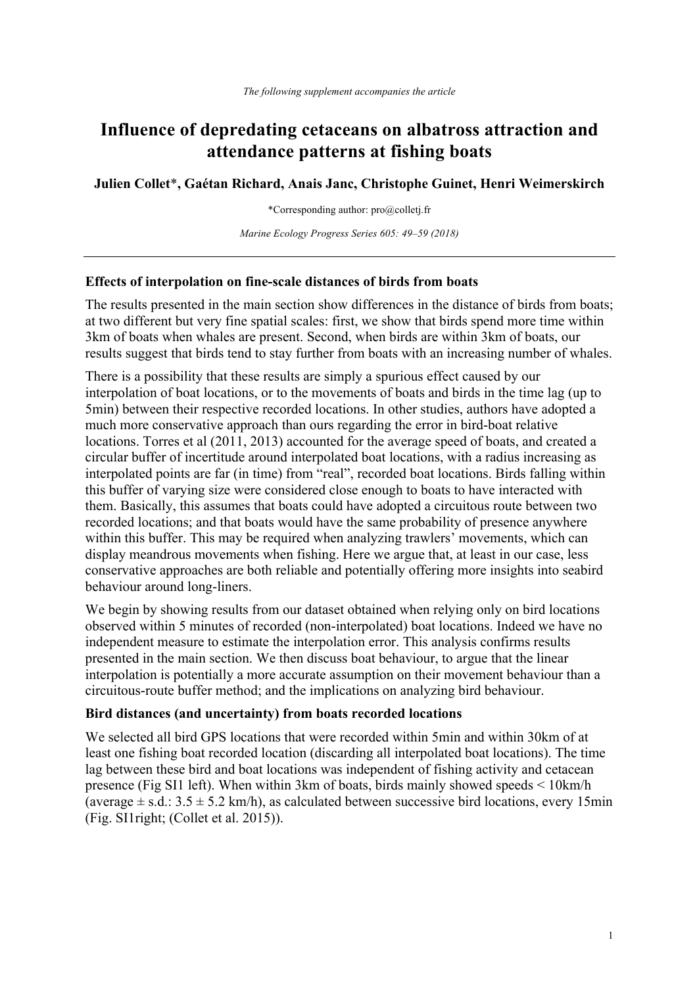# **Influence of depredating cetaceans on albatross attraction and attendance patterns at fishing boats**

**Julien Collet**\***, Gaétan Richard, Anais Janc, Christophe Guinet, Henri Weimerskirch**

\*Corresponding author: pro@colletj.fr

*Marine Ecology Progress Series 605: 49–59 (2018)*

#### **Effects of interpolation on fine-scale distances of birds from boats**

The results presented in the main section show differences in the distance of birds from boats; at two different but very fine spatial scales: first, we show that birds spend more time within 3km of boats when whales are present. Second, when birds are within 3km of boats, our results suggest that birds tend to stay further from boats with an increasing number of whales.

There is a possibility that these results are simply a spurious effect caused by our interpolation of boat locations, or to the movements of boats and birds in the time lag (up to 5min) between their respective recorded locations. In other studies, authors have adopted a much more conservative approach than ours regarding the error in bird-boat relative locations. Torres et al (2011, 2013) accounted for the average speed of boats, and created a circular buffer of incertitude around interpolated boat locations, with a radius increasing as interpolated points are far (in time) from "real", recorded boat locations. Birds falling within this buffer of varying size were considered close enough to boats to have interacted with them. Basically, this assumes that boats could have adopted a circuitous route between two recorded locations; and that boats would have the same probability of presence anywhere within this buffer. This may be required when analyzing trawlers' movements, which can display meandrous movements when fishing. Here we argue that, at least in our case, less conservative approaches are both reliable and potentially offering more insights into seabird behaviour around long-liners.

We begin by showing results from our dataset obtained when relying only on bird locations observed within 5 minutes of recorded (non-interpolated) boat locations. Indeed we have no independent measure to estimate the interpolation error. This analysis confirms results presented in the main section. We then discuss boat behaviour, to argue that the linear interpolation is potentially a more accurate assumption on their movement behaviour than a circuitous-route buffer method; and the implications on analyzing bird behaviour.

#### **Bird distances (and uncertainty) from boats recorded locations**

We selected all bird GPS locations that were recorded within 5min and within 30km of at least one fishing boat recorded location (discarding all interpolated boat locations). The time lag between these bird and boat locations was independent of fishing activity and cetacean presence (Fig SI1 left). When within 3km of boats, birds mainly showed speeds < 10km/h (average  $\pm$  s.d.: 3.5  $\pm$  5.2 km/h), as calculated between successive bird locations, every 15min (Fig. SI1right; (Collet et al. 2015)).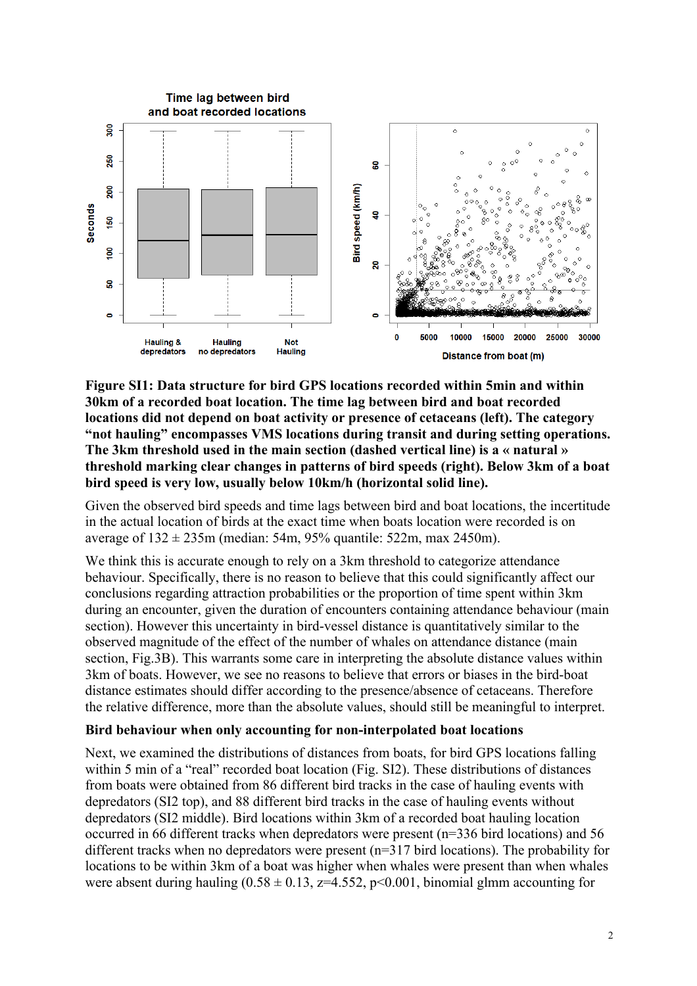

**Figure SI1: Data structure for bird GPS locations recorded within 5min and within 30km of a recorded boat location. The time lag between bird and boat recorded locations did not depend on boat activity or presence of cetaceans (left). The category "not hauling" encompasses VMS locations during transit and during setting operations. The 3km threshold used in the main section (dashed vertical line) is a « natural » threshold marking clear changes in patterns of bird speeds (right). Below 3km of a boat bird speed is very low, usually below 10km/h (horizontal solid line).**

Given the observed bird speeds and time lags between bird and boat locations, the incertitude in the actual location of birds at the exact time when boats location were recorded is on average of  $132 \pm 235$ m (median: 54m, 95% quantile: 522m, max 2450m).

We think this is accurate enough to rely on a 3km threshold to categorize attendance behaviour. Specifically, there is no reason to believe that this could significantly affect our conclusions regarding attraction probabilities or the proportion of time spent within 3km during an encounter, given the duration of encounters containing attendance behaviour (main section). However this uncertainty in bird-vessel distance is quantitatively similar to the observed magnitude of the effect of the number of whales on attendance distance (main section, Fig.3B). This warrants some care in interpreting the absolute distance values within 3km of boats. However, we see no reasons to believe that errors or biases in the bird-boat distance estimates should differ according to the presence/absence of cetaceans. Therefore the relative difference, more than the absolute values, should still be meaningful to interpret.

#### **Bird behaviour when only accounting for non-interpolated boat locations**

Next, we examined the distributions of distances from boats, for bird GPS locations falling within 5 min of a "real" recorded boat location (Fig. SI2). These distributions of distances from boats were obtained from 86 different bird tracks in the case of hauling events with depredators (SI2 top), and 88 different bird tracks in the case of hauling events without depredators (SI2 middle). Bird locations within 3km of a recorded boat hauling location occurred in 66 different tracks when depredators were present (n=336 bird locations) and 56 different tracks when no depredators were present (n=317 bird locations). The probability for locations to be within 3km of a boat was higher when whales were present than when whales were absent during hauling  $(0.58 \pm 0.13, z=4.552, p<0.001, binomial$  glmm accounting for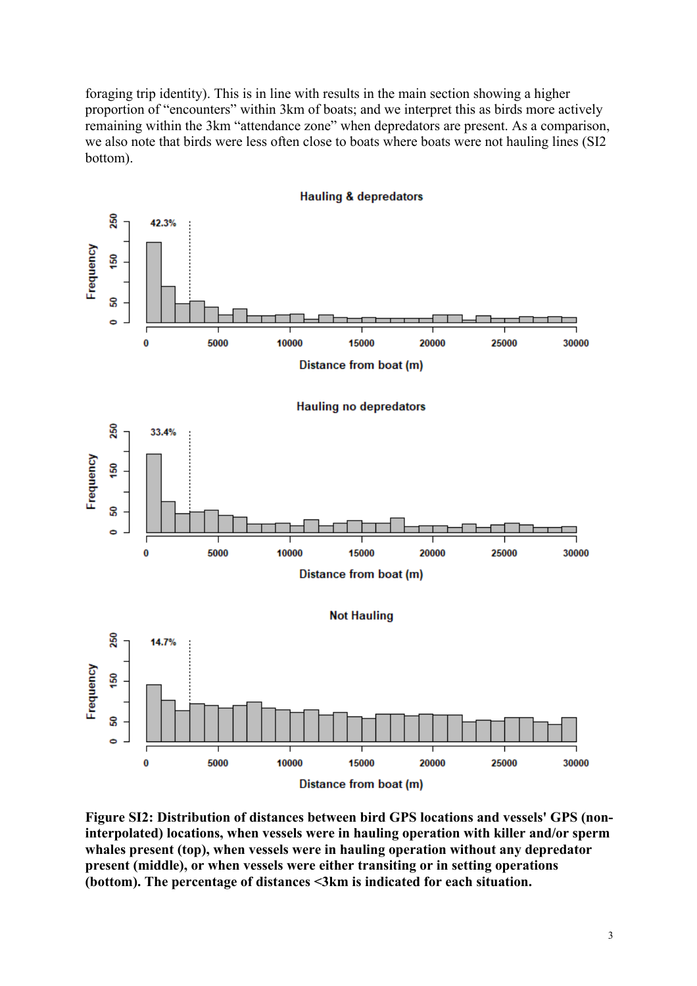foraging trip identity). This is in line with results in the main section showing a higher proportion of "encounters" within 3km of boats; and we interpret this as birds more actively remaining within the 3km "attendance zone" when depredators are present. As a comparison, we also note that birds were less often close to boats where boats were not hauling lines (SI2 bottom).



**Hauling & depredators** 

**Figure SI2: Distribution of distances between bird GPS locations and vessels' GPS (noninterpolated) locations, when vessels were in hauling operation with killer and/or sperm whales present (top), when vessels were in hauling operation without any depredator present (middle), or when vessels were either transiting or in setting operations (bottom). The percentage of distances <3km is indicated for each situation.**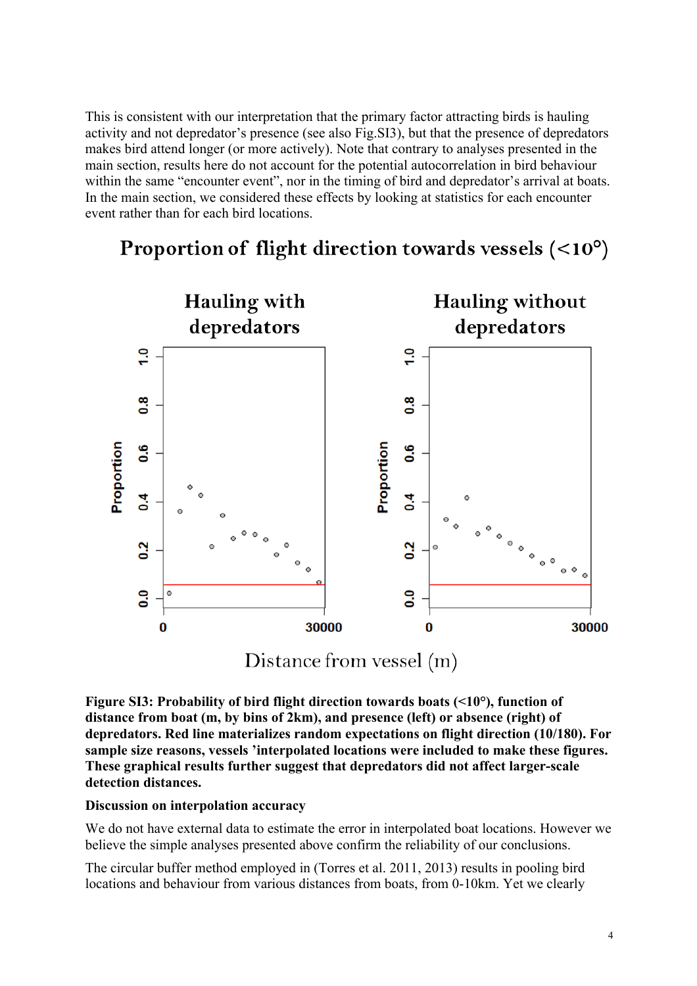This is consistent with our interpretation that the primary factor attracting birds is hauling activity and not depredator's presence (see also Fig.SI3), but that the presence of depredators makes bird attend longer (or more actively). Note that contrary to analyses presented in the main section, results here do not account for the potential autocorrelation in bird behaviour within the same "encounter event", nor in the timing of bird and depredator's arrival at boats. In the main section, we considered these effects by looking at statistics for each encounter event rather than for each bird locations.



Proportion of flight direction towards vessels  $(<10^{\circ})$ 

Distance from vessel (m)

**Figure SI3: Probability of bird flight direction towards boats (<10°), function of distance from boat (m, by bins of 2km), and presence (left) or absence (right) of depredators. Red line materializes random expectations on flight direction (10/180). For sample size reasons, vessels 'interpolated locations were included to make these figures. These graphical results further suggest that depredators did not affect larger-scale detection distances.**

### **Discussion on interpolation accuracy**

We do not have external data to estimate the error in interpolated boat locations. However we believe the simple analyses presented above confirm the reliability of our conclusions.

The circular buffer method employed in (Torres et al. 2011, 2013) results in pooling bird locations and behaviour from various distances from boats, from 0-10km. Yet we clearly